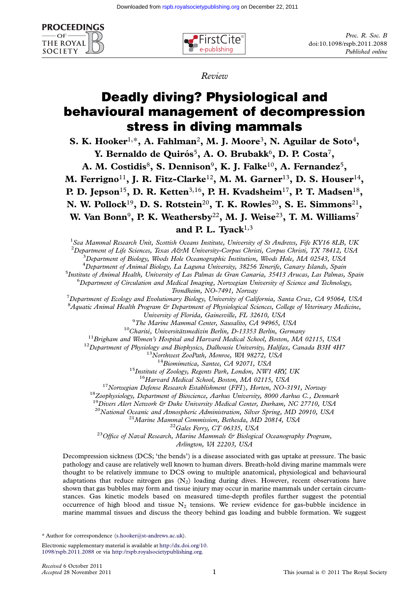



Review

# Deadly diving? Physiological and behavioural management of decompression stress in diving mammals

S. K. Hooker $^{1,*}$ , A. Fahlman $^2$ , M. J. Moore $^3$ , N. Aguilar de Soto $^4$ , Y. Bernaldo de Quirós<sup>5</sup>, A. O. Brubakk<sup>6</sup>, D. P. Costa<sup>7</sup>,

A. M. Costidis $^8$ , S. Dennison $^9$ , K. J. Falke $^{10}$ , A. Fernandez $^5$ ,

M. Ferrigno $^{11}$ , J. R. Fitz-Clarke $^{12}$ , M. M. Garner $^{13}$ , D. S. Houser $^{14}$ ,

P. D. Jepson<sup>15</sup>, D. R. Ketten<sup>3,16</sup>, P. H. Kvadsheim<sup>17</sup>, P. T. Madsen<sup>18</sup>, N. W. Pollock $^{19}$ , D. S. Rotstein $^{20}$ , T. K. Rowles $^{20}$ , S. E. Simmons $^{21}$ ,

W. Van Bonn<sup>9</sup>, P. K. Weathersby<sup>22</sup>, M. J. Weise<sup>23</sup>, T. M. Williams<sup>7</sup> and P. L. Tyack $1,3$ 

<sup>1</sup> Sea Mammal Research Unit, Scottish Oceans Institute, University of St Andrews, Fife KY16 8LB, UK

<sup>2</sup>Department of Life Sciences, Texas A&M University-Corpus Christi, Corpus Christi, TX 78412, USA<br><sup>3</sup>Department of Biology, Woods Hole Oceanographic Institution, Woods Hole, M.4 02543, USA

 $^3$ Department of Biology, Woods Hole Oceanographic Institution, Woods Hole, MA 02543, USA

<sup>4</sup> Department of Animal Biology, La Laguna University, 38256 Tenerife, Canary Islands, Spain<br><sup>5</sup> Jactinus of Animal Health, University of Lee Palmas de Gran Canaria, 25412 Anuase, Lee Palmas

<sup>5</sup> Institute of Animal Health, University of Las Palmas de Gran Canaria, 35413 Arucas, Las Palmas, Spain

 ${}^6D$ epartment of Circulation and Medical Imaging, Norwegian University of Science and Technology,

Trondheim, NO-7491, Norway<br><sup>7</sup> Department of Ecology and Evolutionary Biology, University of California, Santa Cruz, CA 95064, USA

<sup>8</sup> Aquatic Animal Health Program & Department of Physiological Sciences, College of Veterinary Medicine,

University of Florida, Gainesville, FL 32610, USA<br><sup>9</sup>The Marine Mammal Center, Sausalito, CA 94965, USA

<sup>10</sup>Charité, Universitätsmedizin Berlin, D-13353 Berlin, Germany<br><sup>11</sup>Brigham and Women's Hospital and Harvard Medical School, Boston, MA 02115, USA<br><sup>12</sup>Department of Physiology and Biophysics, Dalhousie University, Halifa

<sup>17</sup>Norwegian Defense Research Establishment (FFI), Horten, NO-3191, Norway 18Zoophysiology, Department of Bioscience, Aarhus University, 8000 Aarhus C., Denmark

 $^{19}$ Divers Alert Network & Duke University Medical Center, Durham, NC 27710, USA

<sup>20</sup>National Oceanic and Atmospheric Administration, Silver Spring, MD 20910, USA<br><sup>21</sup>Marine Mammal Commission, Bethesda, MD 20814, USA<br><sup>22</sup>Gales Ferry, CT 06335, USA<br><sup>23</sup>Office of Naval Research, Marine Mammals & Biologi

Arlington, VA 22203, USA

Decompression sickness (DCS; 'the bends') is a disease associated with gas uptake at pressure. The basic pathology and cause are relatively well known to human divers. Breath-hold diving marine mammals were thought to be relatively immune to DCS owing to multiple anatomical, physiological and behavioural adaptations that reduce nitrogen gas  $(N_2)$  loading during dives. However, recent observations have shown that gas bubbles may form and tissue injury may occur in marine mammals under certain circumstances. Gas kinetic models based on measured time-depth profiles further suggest the potential occurrence of high blood and tissue  $N_2$  tensions. We review evidence for gas-bubble incidence in marine mammal tissues and discuss the theory behind gas loading and bubble formation. We suggest

\* Author for correspondence ([s.hooker@st-andrews.ac.uk](mailto:s.hooker@st-andrews.ac.uk)).

Electronic supplementary material is available at [http://dx.doi.org/10.](http://dx.doi.org/10.1098/rspb.2011.2088) [1098/rspb.2011.2088](http://dx.doi.org/10.1098/rspb.2011.2088) or via <http://rspb.royalsocietypublishing.org>.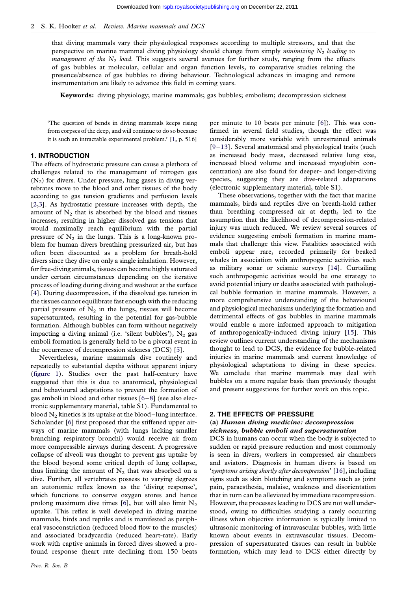that diving mammals vary their physiological responses according to multiple stressors, and that the perspective on marine mammal diving physiology should change from simply *minimizing*  $N<sub>2</sub>$  loading to *management of the*  $N_2$  *load*. This suggests several avenues for further study, ranging from the effects of gas bubbles at molecular, cellular and organ function levels, to comparative studies relating the presence/absence of gas bubbles to diving behaviour. Technological advances in imaging and remote instrumentation are likely to advance this field in coming years.

Keywords: diving physiology; marine mammals; gas bubbles; embolism; decompression sickness

'The question of bends in diving mammals keeps rising from corpses of the deep, and will continue to do so because it is such an intractable experimental problem.' [\[1,](#page-7-0) p. 516]

# 1. INTRODUCTION

The effects of hydrostatic pressure can cause a plethora of challenges related to the management of nitrogen gas  $(N_2)$  for divers. Under pressure, lung gases in diving vertebrates move to the blood and other tissues of the body according to gas tension gradients and perfusion levels [\[2,3](#page-7-0)]. As hydrostatic pressure increases with depth, the amount of  $N_2$  that is absorbed by the blood and tissues increases, resulting in higher dissolved gas tensions that would maximally reach equilibrium with the partial pressure of  $N_2$  in the lungs. This is a long-known problem for human divers breathing pressurized air, but has often been discounted as a problem for breath-hold divers since they dive on only a single inhalation. However, for free-diving animals, tissues can become highly saturated under certain circumstances depending on the iterative process of loading during diving and washout at the surface [\[4](#page-8-0)]. During decompression, if the dissolved gas tension in the tissues cannot equilibrate fast enough with the reducing partial pressure of  $N_2$  in the lungs, tissues will become supersaturated, resulting in the potential for gas-bubble formation. Although bubbles can form without negatively impacting a diving animal (i.e. 'silent bubbles'),  $N_2$  gas emboli formation is generally held to be a pivotal event in the occurrence of decompression sickness (DCS) [\[5](#page-8-0)].

Nevertheless, marine mammals dive routinely and repeatedly to substantial depths without apparent injury [\(figure 1\)](#page-2-0). Studies over the past half-century have suggested that this is due to anatomical, physiological and behavioural adaptations to prevent the formation of gas emboli in blood and other tissues [\[6](#page-8-0)–[8](#page-8-0)] (see also electronic supplementary material, table S1). Fundamental to blood  $N_2$  kinetics is its uptake at the blood–lung interface. Scholander [[6\]](#page-8-0) first proposed that the stiffened upper airways of marine mammals (with lungs lacking smaller branching respiratory bronchi) would receive air from more compressible airways during descent. A progressive collapse of alveoli was thought to prevent gas uptake by the blood beyond some critical depth of lung collapse, thus limiting the amount of  $N_2$  that was absorbed on a dive. Further, all vertebrates possess to varying degrees an autonomic reflex known as the 'diving response', which functions to conserve oxygen stores and hence prolong maximum dive times [\[6](#page-8-0)], but will also limit  $N_2$ uptake. This reflex is well developed in diving marine mammals, birds and reptiles and is manifested as peripheral vasoconstriction (reduced blood flow to the muscles) and associated bradycardia (reduced heart-rate). Early work with captive animals in forced dives showed a profound response (heart rate declining from 150 beats

per minute to 10 beats per minute [\[6](#page-8-0)]). This was confirmed in several field studies, though the effect was considerably more variable with unrestrained animals [\[9](#page-8-0)–[13\]](#page-8-0). Several anatomical and physiological traits (such as increased body mass, decreased relative lung size, increased blood volume and increased myoglobin concentration) are also found for deeper- and longer-diving species, suggesting they are dive-related adaptations (electronic supplementary material, table S1).

These observations, together with the fact that marine mammals, birds and reptiles dive on breath-hold rather than breathing compressed air at depth, led to the assumption that the likelihood of decompression-related injury was much reduced. We review several sources of evidence suggesting emboli formation in marine mammals that challenge this view. Fatalities associated with emboli appear rare, recorded primarily for beaked whales in association with anthropogenic activities such as military sonar or seismic surveys [\[14\]](#page-8-0). Curtailing such anthropogenic activities would be one strategy to avoid potential injury or deaths associated with pathological bubble formation in marine mammals. However, a more comprehensive understanding of the behavioural and physiological mechanisms underlying the formation and detrimental effects of gas bubbles in marine mammals would enable a more informed approach to mitigation of anthropogenically-induced diving injury [\[15\]](#page-8-0). This review outlines current understanding of the mechanisms thought to lead to DCS, the evidence for bubble-related injuries in marine mammals and current knowledge of physiological adaptations to diving in these species. We conclude that marine mammals may deal with bubbles on a more regular basis than previously thought and present suggestions for further work on this topic.

## 2. THE EFFECTS OF PRESSURE

### (a) Human diving medicine: decompression sickness, bubble emboli and supersaturation

DCS in humans can occur when the body is subjected to sudden or rapid pressure reduction and most commonly is seen in divers, workers in compressed air chambers and aviators. Diagnosis in human divers is based on 'symptoms arising shortly after decompression' [[16](#page-8-0)], including signs such as skin blotching and symptoms such as joint pain, paraesthesia, malaise, weakness and disorientation that in turn can be alleviated by immediate recompression. However, the processes leading to DCS are not well understood, owing to difficulties studying a rarely occurring illness when objective information is typically limited to ultrasonic monitoring of intravascular bubbles, with little known about events in extravascular tissues. Decompression of supersaturated tissues can result in bubble formation, which may lead to DCS either directly by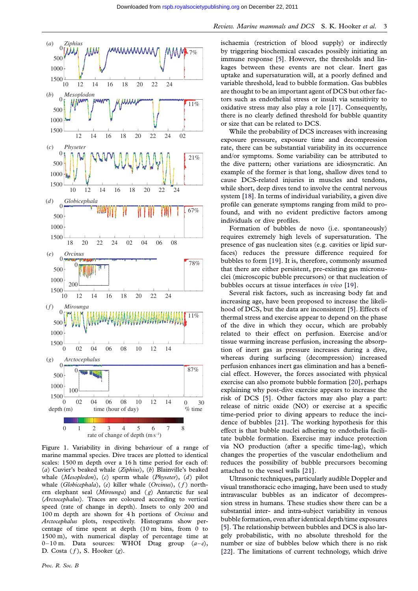<span id="page-2-0"></span>

Figure 1. Variability in diving behaviour of a range of marine mammal species. Dive traces are plotted to identical scales: 1500 m depth over a 16 h time period for each of: (a) Cuvier's beaked whale  $(Ziphius)$ , (b) Blainville's beaked whale (Mesoplodon), (c) sperm whale (Physeter), (d) pilot whale (Globicephala), (e) killer whale (Orcinus),  $(f)$  northern elephant seal (Mirounga) and  $(g)$  Antarctic fur seal (Arctocephalus). Traces are coloured according to vertical speed (rate of change in depth). Insets to only 200 and 100 m depth are shown for 4 h portions of Orcinus and Arctocephalus plots, respectively. Histograms show percentage of time spent at depth (10 m bins, from 0 to 1500 m), with numerical display of percentage time at 0–10 m. Data sources: WHOI Dtag group  $(a-e)$ , D. Costa  $(f)$ , S. Hooker  $(g)$ .

ischaemia (restriction of blood supply) or indirectly by triggering biochemical cascades possibly initiating an immune response [\[5](#page-8-0)]. However, the thresholds and linkages between these events are not clear. Inert gas uptake and supersaturation will, at a poorly defined and variable threshold, lead to bubble formation. Gas bubbles are thought to be an important agent of DCS but other factors such as endothelial stress or insult via sensitivity to oxidative stress may also play a role [[17](#page-8-0)]. Consequently, there is no clearly defined threshold for bubble quantity or size that can be related to DCS.

While the probability of DCS increases with increasing exposure pressure, exposure time and decompression rate, there can be substantial variability in its occurrence and/or symptoms. Some variability can be attributed to the dive pattern; other variations are idiosyncratic. An example of the former is that long, shallow dives tend to cause DCS-related injuries in muscles and tendons, while short, deep dives tend to involve the central nervous system [\[18\]](#page-8-0). In terms of individual variability, a given dive profile can generate symptoms ranging from mild to profound, and with no evident predictive factors among individuals or dive profiles.

Formation of bubbles de novo (i.e. spontaneously) requires extremely high levels of supersaturation. The presence of gas nucleation sites (e.g. cavities or lipid surfaces) reduces the pressure difference required for bubbles to form [[19](#page-8-0)]. It is, therefore, commonly assumed that there are either persistent, pre-existing gas micronuclei (microscopic bubble precursors) or that nucleation of bubbles occurs at tissue interfaces in vivo [[19](#page-8-0)].

Several risk factors, such as increasing body fat and increasing age, have been proposed to increase the likelihood of DCS, but the data are inconsistent [\[5\]](#page-8-0). Effects of thermal stress and exercise appear to depend on the phase of the dive in which they occur, which are probably related to their effect on perfusion. Exercise and/or tissue warming increase perfusion, increasing the absorption of inert gas as pressure increases during a dive, whereas during surfacing (decompression) increased perfusion enhances inert gas elimination and has a beneficial effect. However, the forces associated with physical exercise can also promote bubble formation [[20](#page-8-0)], perhaps explaining why post-dive exercise appears to increase the risk of DCS [[5\]](#page-8-0). Other factors may also play a part: release of nitric oxide (NO) or exercise at a specific time-period prior to diving appears to reduce the incidence of bubbles [[21](#page-8-0)]. The working hypothesis for this effect is that bubble nuclei adhering to endothelia facilitate bubble formation. Exercise may induce protection via NO production (after a specific time-lag), which changes the properties of the vascular endothelium and reduces the possibility of bubble precursors becoming attached to the vessel walls [[21](#page-8-0)].

Ultrasonic techniques, particularly audible Doppler and visual transthoracic echo imaging, have been used to study intravascular bubbles as an indicator of decompression stress in humans. These studies show there can be a substantial inter- and intra-subject variability in venous bubble formation, even after identical depth/time exposures [\[5](#page-8-0)]. The relationship between bubbles and DCS is also largely probabilistic, with no absolute threshold for the number or size of bubbles below which there is no risk [\[22](#page-8-0)]. The limitations of current technology, which drive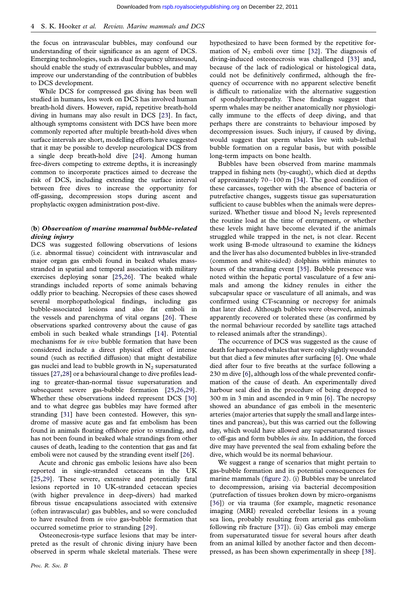the focus on intravascular bubbles, may confound our understanding of their significance as an agent of DCS. Emerging technologies, such as dual frequency ultrasound, should enable the study of extravascular bubbles, and may improve our understanding of the contribution of bubbles to DCS development.

While DCS for compressed gas diving has been well studied in humans, less work on DCS has involved human breath-hold divers. However, rapid, repetitive breath-hold diving in humans may also result in DCS [\[23\]](#page-8-0). In fact, although symptoms consistent with DCS have been more commonly reported after multiple breath-hold dives when surface intervals are short, modelling efforts have suggested that it may be possible to develop neurological DCS from a single deep breath-hold dive [\[24](#page-8-0)]. Among human free-divers competing to extreme depths, it is increasingly common to incorporate practices aimed to decrease the risk of DCS, including extending the surface interval between free dives to increase the opportunity for off-gassing, decompression stops during ascent and prophylactic oxygen administration post-dive.

# (b) Observation of marine mammal bubble-related diving injury

DCS was suggested following observations of lesions (i.e. abnormal tissue) coincident with intravascular and major organ gas emboli found in beaked whales massstranded in spatial and temporal association with military exercises deploying sonar [\[25,26\]](#page-8-0). The beaked whale strandings included reports of some animals behaving oddly prior to beaching. Necropsies of these cases showed several morphopathological findings, including gas bubble-associated lesions and also fat emboli in the vessels and parenchyma of vital organs [[26](#page-8-0)]. These observations sparked controversy about the cause of gas emboli in such beaked whale strandings [\[14\]](#page-8-0). Potential mechanisms for in vivo bubble formation that have been considered include a direct physical effect of intense sound (such as rectified diffusion) that might destabilize gas nuclei and lead to bubble growth in  $N_2$  supersaturated tissues [[27,28\]](#page-8-0) or a behavioural change to dive profiles leading to greater-than-normal tissue supersaturation and subsequent severe gas-bubble formation [\[25,26,29](#page-8-0)]. Whether these observations indeed represent DCS [[30](#page-8-0)] and to what degree gas bubbles may have formed after stranding [[31](#page-8-0)] have been contested. However, this syndrome of massive acute gas and fat embolism has been found in animals floating offshore prior to stranding, and has not been found in beaked whale strandings from other causes of death, leading to the contention that gas and fat emboli were not caused by the stranding event itself [\[26](#page-8-0)].

Acute and chronic gas embolic lesions have also been reported in single-stranded cetaceans in the UK [\[25,29](#page-8-0)]. These severe, extensive and potentially fatal lesions reported in 10 UK-stranded cetacean species (with higher prevalence in deep-divers) had marked fibrous tissue encapsulations associated with extensive (often intravascular) gas bubbles, and so were concluded to have resulted from in vivo gas-bubble formation that occurred sometime prior to stranding [\[29\]](#page-8-0).

Osteonecrosis-type surface lesions that may be interpreted as the result of chronic diving injury have been observed in sperm whale skeletal materials. These were hypothesized to have been formed by the repetitive formation of  $N_2$  emboli over time [\[32\]](#page-8-0). The diagnosis of diving-induced osteonecrosis was challenged [\[33\]](#page-8-0) and, because of the lack of radiological or histological data, could not be definitively confirmed, although the frequency of occurrence with no apparent selective benefit is difficult to rationalize with the alternative suggestion of spondyloarthropathy. These findings suggest that sperm whales may be neither anatomically nor physiologically immune to the effects of deep diving, and that perhaps there are constraints to behaviour imposed by decompression issues. Such injury, if caused by diving, would suggest that sperm whales live with sub-lethal bubble formation on a regular basis, but with possible long-term impacts on bone health.

Bubbles have been observed from marine mammals trapped in fishing nets (by-caught), which died at depths of approximately 70–100 m [[34](#page-8-0)]. The good condition of these carcasses, together with the absence of bacteria or putrefactive changes, suggests tissue gas supersaturation sufficient to cause bubbles when the animals were depressurized. Whether tissue and blood  $N_2$  levels represented the routine load at the time of entrapment, or whether these levels might have become elevated if the animals struggled while trapped in the net, is not clear. Recent work using B-mode ultrasound to examine the kidneys and the liver has also documented bubbles in live-stranded (common and white-sided) dolphins within minutes to hours of the stranding event [[35](#page-8-0)]. Bubble presence was noted within the hepatic portal vasculature of a few animals and among the kidney renules in either the subcapsular space or vasculature of all animals, and was confirmed using CT-scanning or necropsy for animals that later died. Although bubbles were observed, animals apparently recovered or tolerated these (as confirmed by the normal behaviour recorded by satellite tags attached to released animals after the strandings).

The occurrence of DCS was suggested as the cause of death for harpooned whales that were only slightly wounded but that died a few minutes after surfacing [\[6](#page-8-0)]. One whale died after four to five breaths at the surface following a 230 m dive [[6\]](#page-8-0), although loss of the whale prevented confirmation of the cause of death. An experimentally dived harbour seal died in the procedure of being dropped to 300 m in 3 min and ascended in 9 min [\[6\]](#page-8-0). The necropsy showed an abundance of gas emboli in the mesenteric arteries (major arteries that supply the small and large intestines and pancreas), but this was carried out the following day, which would have allowed any supersaturated tissues to off-gas and form bubbles in situ. In addition, the forced dive may have prevented the seal from exhaling before the dive, which would be its normal behaviour.

We suggest a range of scenarios that might pertain to gas-bubble formation and its potential consequences for marine mammals [\(figure 2\)](#page-4-0). (i) Bubbles may be unrelated to decompression, arising via bacterial decomposition (putrefaction of tissues broken down by micro-organisms [\[36\]](#page-8-0)) or via trauma (for example, magnetic resonance imaging (MRI) revealed cerebellar lesions in a young sea lion, probably resulting from arterial gas embolism following rib fracture [\[37\]](#page-8-0)). (ii) Gas emboli may emerge from supersaturated tissue for several hours after death from an animal killed by another factor and then decompressed, as has been shown experimentally in sheep [[38](#page-8-0)].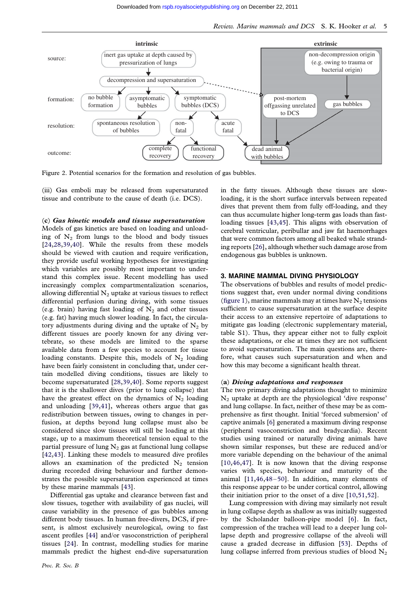<span id="page-4-0"></span>

Figure 2. Potential scenarios for the formation and resolution of gas bubbles.

(iii) Gas emboli may be released from supersaturated tissue and contribute to the cause of death (i.e. DCS).

(c) Gas kinetic models and tissue supersaturation Models of gas kinetics are based on loading and unloading of  $N_2$  from lungs to the blood and body tissues [\[24,28,39](#page-8-0),[40](#page-8-0)]. While the results from these models should be viewed with caution and require verification, they provide useful working hypotheses for investigating which variables are possibly most important to understand this complex issue. Recent modelling has used increasingly complex compartmentalization scenarios, allowing differential  $N_2$  uptake at various tissues to reflect differential perfusion during diving, with some tissues (e.g. brain) having fast loading of  $N_2$  and other tissues (e.g. fat) having much slower loading. In fact, the circulatory adjustments during diving and the uptake of  $N_2$  by different tissues are poorly known for any diving vertebrate, so these models are limited to the sparse available data from a few species to account for tissue loading constants. Despite this, models of  $N_2$  loading have been fairly consistent in concluding that, under certain modelled diving conditions, tissues are likely to become supersaturated [[28](#page-8-0),[39,40\]](#page-8-0). Some reports suggest that it is the shallower dives (prior to lung collapse) that have the greatest effect on the dynamics of  $N_2$  loading and unloading [\[39,41\]](#page-8-0), whereas others argue that gas redistribution between tissues, owing to changes in perfusion, at depths beyond lung collapse must also be considered since slow tissues will still be loading at this stage, up to a maximum theoretical tension equal to the partial pressure of lung  $N_2$  gas at functional lung collapse [\[42,](#page-8-0)[43\]](#page-9-0). Linking these models to measured dive profiles allows an examination of the predicted  $N_2$  tension during recorded diving behaviour and further demonstrates the possible supersaturation experienced at times by these marine mammals [[43](#page-9-0)].

Differential gas uptake and clearance between fast and slow tissues, together with availability of gas nuclei, will cause variability in the presence of gas bubbles among different body tissues. In human free-divers, DCS, if present, is almost exclusively neurological, owing to fast ascent profiles [[44](#page-9-0)] and/or vasoconstriction of peripheral tissues [[24](#page-8-0)]. In contrast, modelling studies for marine mammals predict the highest end-dive supersaturation

in the fatty tissues. Although these tissues are slowloading, it is the short surface intervals between repeated dives that prevent them from fully off-loading, and they can thus accumulate higher long-term gas loads than fastloading tissues [[43,45](#page-9-0)]. This aligns with observation of cerebral ventricular, peribullar and jaw fat haemorrhages that were common factors among all beaked whale stranding reports [\[26\]](#page-8-0), although whether such damage arose from endogenous gas bubbles is unknown.

#### 3. MARINE MAMMAL DIVING PHYSIOLOGY

The observations of bubbles and results of model predictions suggest that, even under normal diving conditions [\(figure 1](#page-2-0)), marine mammals may at times have  $N_2$  tensions sufficient to cause supersaturation at the surface despite their access to an extensive repertoire of adaptations to mitigate gas loading (electronic supplementary material, table S1). Thus, they appear either not to fully exploit these adaptations, or else at times they are not sufficient to avoid supersaturation. The main questions are, therefore, what causes such supersaturation and when and how this may become a significant health threat.

### (a) Diving adaptations and responses

The two primary diving adaptations thought to minimize  $N<sub>2</sub>$  uptake at depth are the physiological 'dive response' and lung collapse. In fact, neither of these may be as comprehensive as first thought. Initial 'forced submersion' of captive animals [\[6\]](#page-8-0) generated a maximum diving response (peripheral vasoconstriction and bradycardia). Recent studies using trained or naturally diving animals have shown similar responses, but these are reduced and/or more variable depending on the behaviour of the animal [\[10,](#page-8-0)[46,47](#page-9-0)]. It is now known that the diving response varies with species, behaviour and maturity of the animal [\[11,](#page-8-0)[46](#page-9-0),[48](#page-9-0)–[50\]](#page-9-0). In addition, many elements of this response appear to be under cortical control, allowing their initiation prior to the onset of a dive [[10](#page-8-0),[51,52\]](#page-9-0).

Lung compression with diving may similarly not result in lung collapse depth as shallow as was initially suggested by the Scholander balloon-pipe model [\[6\]](#page-8-0). In fact, compression of the trachea will lead to a deeper lung collapse depth and progressive collapse of the alveoli will cause a graded decrease in diffusion [[53](#page-9-0)]. Depths of lung collapse inferred from previous studies of blood  $N_2$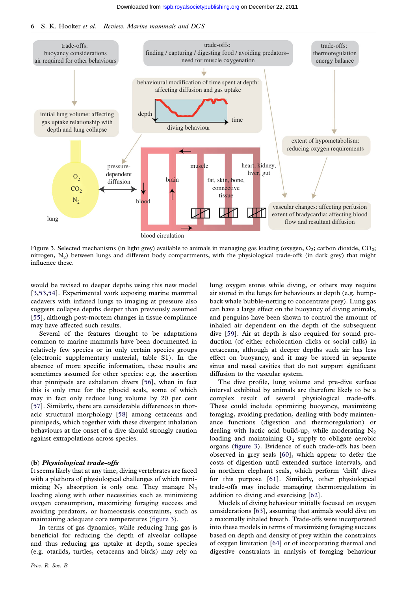



Figure 3. Selected mechanisms (in light grey) available to animals in managing gas loading (oxygen,  $O_2$ ; carbon dioxide,  $CO_2$ ; nitrogen,  $N_2$ ) between lungs and different body compartments, with the physiological trade-offs (in dark grey) that might influence these.

would be revised to deeper depths using this new model [\[3,](#page-7-0)[53,54](#page-9-0)]. Experimental work exposing marine mammal cadavers with inflated lungs to imaging at pressure also suggests collapse depths deeper than previously assumed [\[55\]](#page-9-0), although post-mortem changes in tissue compliance may have affected such results.

Several of the features thought to be adaptations common to marine mammals have been documented in relatively few species or in only certain species groups (electronic supplementary material, table S1). In the absence of more specific information, these results are sometimes assumed for other species: e.g. the assertion that pinnipeds are exhalation divers [\[56\]](#page-9-0), when in fact this is only true for the phocid seals, some of which may in fact only reduce lung volume by 20 per cent [\[57\]](#page-9-0). Similarly, there are considerable differences in thoracic structural morphology [\[58\]](#page-9-0) among cetaceans and pinnipeds, which together with these divergent inhalation behaviours at the onset of a dive should strongly caution against extrapolations across species.

#### (b) Physiological trade-offs

It seems likely that at any time, diving vertebrates are faced with a plethora of physiological challenges of which minimizing  $N_2$  absorption is only one. They manage  $N_2$ loading along with other necessities such as minimizing oxygen consumption, maximizing foraging success and avoiding predators, or homeostasis constraints, such as maintaining adequate core temperatures (figure 3).

In terms of gas dynamics, while reducing lung gas is beneficial for reducing the depth of alveolar collapse and thus reducing gas uptake at depth, some species (e.g. otariids, turtles, cetaceans and birds) may rely on

lung oxygen stores while diving, or others may require air stored in the lungs for behaviours at depth (e.g. humpback whale bubble-netting to concentrate prey). Lung gas can have a large effect on the buoyancy of diving animals, and penguins have been shown to control the amount of inhaled air dependent on the depth of the subsequent dive [[59](#page-9-0)]. Air at depth is also required for sound production (of either echolocation clicks or social calls) in cetaceans, although at deeper depths such air has less effect on buoyancy, and it may be stored in separate sinus and nasal cavities that do not support significant diffusion to the vascular system.

The dive profile, lung volume and pre-dive surface interval exhibited by animals are therefore likely to be a complex result of several physiological trade-offs. These could include optimizing buoyancy, maximizing foraging, avoiding predation, dealing with body maintenance functions (digestion and thermoregulation) or dealing with lactic acid build-up, while moderating  $N_2$ loading and maintaining  $O_2$  supply to obligate aerobic organs (figure 3). Evidence of such trade-offs has been observed in grey seals [\[60\]](#page-9-0), which appear to defer the costs of digestion until extended surface intervals, and in northern elephant seals, which perform 'drift' dives for this purpose [\[61](#page-9-0)]. Similarly, other physiological trade-offs may include managing thermoregulation in addition to diving and exercising [\[62\]](#page-9-0).

Models of diving behaviour initially focused on oxygen considerations [\[63\]](#page-9-0), assuming that animals would dive on a maximally inhaled breath. Trade-offs were incorporated into these models in terms of maximizing foraging success based on depth and density of prey within the constraints of oxygen limitation [[64](#page-9-0)] or of incorporating thermal and digestive constraints in analysis of foraging behaviour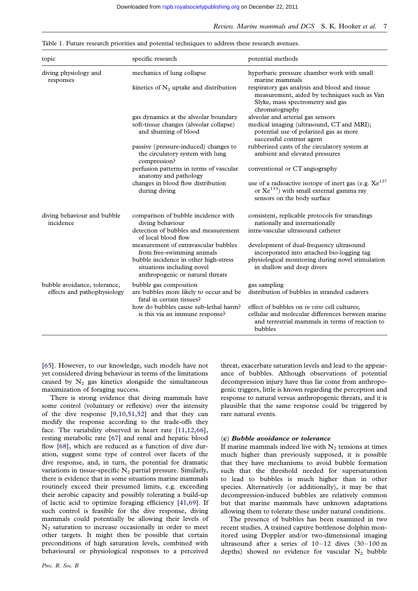<span id="page-6-0"></span>

|  |  |  |  |  |  |  |  |  | Table 1. Future research priorities and potential techniques to address these research avenues. |  |
|--|--|--|--|--|--|--|--|--|-------------------------------------------------------------------------------------------------|--|
|--|--|--|--|--|--|--|--|--|-------------------------------------------------------------------------------------------------|--|

| topic                                    | specific research                                                                                       | potential methods                                                                                                                                   |  |  |  |
|------------------------------------------|---------------------------------------------------------------------------------------------------------|-----------------------------------------------------------------------------------------------------------------------------------------------------|--|--|--|
| diving physiology and<br>responses       | mechanics of lung collapse                                                                              | hyperbaric pressure chamber work with small<br>marine mammals                                                                                       |  |  |  |
|                                          | kinetics of $N_2$ uptake and distribution                                                               | respiratory gas analysis and blood and tissue<br>measurement, aided by techniques such as Van<br>Slyke, mass spectrometry and gas<br>chromatography |  |  |  |
|                                          | gas dynamics at the alveolar boundary                                                                   | alveolar and arterial gas sensors                                                                                                                   |  |  |  |
|                                          | soft-tissue changes (alveolar collapse)<br>and shunting of blood                                        | medical imaging (ultrasound, CT and MRI);<br>potential use of polarized gas as more<br>successful contrast agent                                    |  |  |  |
|                                          | passive (pressure-induced) changes to<br>the circulatory system with lung<br>compression?               | rubberized casts of the circulatory system at<br>ambient and elevated pressures                                                                     |  |  |  |
|                                          | perfusion patterns in terms of vascular<br>anatomy and pathology                                        | conventional or CT angiography                                                                                                                      |  |  |  |
|                                          | changes in blood flow distribution<br>during diving                                                     | use of a radioactive isotope of inert gas (e.g. Xe <sup>127</sup><br>or $Xe^{133}$ ) with small external gamma ray<br>sensors on the body surface   |  |  |  |
| diving behaviour and bubble<br>incidence | comparison of bubble incidence with<br>diving behaviour                                                 | consistent, replicable protocols for strandings<br>nationally and internationally                                                                   |  |  |  |
|                                          | detection of bubbles and measurement<br>of local blood flow                                             | intra-vascular ultrasound catheter                                                                                                                  |  |  |  |
|                                          | measurement of extravascular bubbles<br>from free-swimming animals                                      | development of dual-frequency ultrasound<br>incorporated into attached bio-logging tag                                                              |  |  |  |
|                                          | bubble incidence in other high-stress<br>situations including novel<br>anthropogenic or natural threats | physiological monitoring during novel stimulation<br>in shallow and deep divers                                                                     |  |  |  |
| bubble avoidance, tolerance,             | bubble gas composition                                                                                  | gas sampling                                                                                                                                        |  |  |  |
| effects and pathophysiology              | are bubbles more likely to occur and be<br>fatal in certain tissues?                                    | distribution of bubbles in stranded cadavers                                                                                                        |  |  |  |
|                                          | how do bubbles cause sub-lethal harm?                                                                   | effect of bubbles on <i>in vitro</i> cell cultures;                                                                                                 |  |  |  |
|                                          | is this via an immune response?                                                                         | cellular and molecular differences between marine<br>and terrestrial mammals in terms of reaction to<br>bubbles                                     |  |  |  |

[\[65\]](#page-9-0). However, to our knowledge, such models have not yet considered diving behaviour in terms of the limitations caused by  $N_2$  gas kinetics alongside the simultaneous maximization of foraging success.

There is strong evidence that diving mammals have some control (voluntary or reflexive) over the intensity of the dive response [[9,10](#page-8-0),[51,52\]](#page-9-0) and that they can modify the response according to the trade-offs they face. The variability observed in heart rate [\[11,12,](#page-8-0)[66](#page-9-0)], resting metabolic rate [\[67\]](#page-9-0) and renal and hepatic blood flow [\[68\]](#page-9-0), which are reduced as a function of dive duration, suggest some type of control over facets of the dive response, and, in turn, the potential for dramatic variations in tissue-specific  $N_2$  partial pressure. Similarly, there is evidence that in some situations marine mammals routinely exceed their presumed limits, e.g. exceeding their aerobic capacity and possibly tolerating a build-up of lactic acid to optimize foraging efficiency [[41](#page-8-0),[69](#page-9-0)]. If such control is feasible for the dive response, diving mammals could potentially be allowing their levels of  $N<sub>2</sub>$  saturation to increase occasionally in order to meet other targets. It might then be possible that certain preconditions of high saturation levels, combined with behavioural or physiological responses to a perceived

threat, exacerbate saturation levels and lead to the appearance of bubbles. Although observations of potential decompression injury have thus far come from anthropogenic triggers, little is known regarding the perception and response to natural versus anthropogenic threats, and it is plausible that the same response could be triggered by rare natural events.

## (c) Bubble avoidance or tolerance

If marine mammals indeed live with  $N_2$  tensions at times much higher than previously supposed, it is possible that they have mechanisms to avoid bubble formation such that the threshold needed for supersaturation to lead to bubbles is much higher than in other species. Alternatively (or additionally), it may be that decompression-induced bubbles are relatively common but that marine mammals have unknown adaptations allowing them to tolerate these under natural conditions.

The presence of bubbles has been examined in two recent studies. A trained captive bottlenose dolphin monitored using Doppler and/or two-dimensional imaging ultrasound after a series of 10–12 dives (30–100 m depths) showed no evidence for vascular  $N_2$  bubble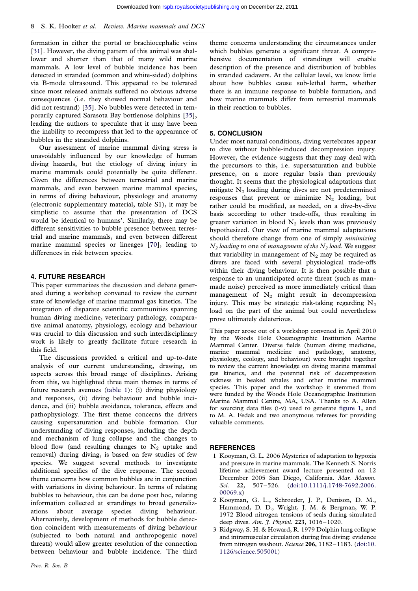<span id="page-7-0"></span>formation in either the portal or brachiocephalic veins [\[31\]](#page-8-0). However, the diving pattern of this animal was shallower and shorter than that of many wild marine mammals. A low level of bubble incidence has been detected in stranded (common and white-sided) dolphins via B-mode ultrasound. This appeared to be tolerated since most released animals suffered no obvious adverse consequences (i.e. they showed normal behaviour and did not restrand) [\[35\]](#page-8-0). No bubbles were detected in temporarily captured Sarasota Bay bottlenose dolphins [[35](#page-8-0)], leading the authors to speculate that it may have been the inability to recompress that led to the appearance of bubbles in the stranded dolphins.

Our assessment of marine mammal diving stress is unavoidably influenced by our knowledge of human diving hazards, but the etiology of diving injury in marine mammals could potentially be quite different. Given the differences between terrestrial and marine mammals, and even between marine mammal species, in terms of diving behaviour, physiology and anatomy (electronic supplementary material, table S1), it may be simplistic to assume that the presentation of DCS would be identical to humans'. Similarly, there may be different sensitivities to bubble presence between terrestrial and marine mammals, and even between different marine mammal species or lineages [\[70\]](#page-9-0), leading to differences in risk between species.

#### 4. FUTURE RESEARCH

This paper summarizes the discussion and debate generated during a workshop convened to review the current state of knowledge of marine mammal gas kinetics. The integration of disparate scientific communities spanning human diving medicine, veterinary pathology, comparative animal anatomy, physiology, ecology and behaviour was crucial to this discussion and such interdisciplinary work is likely to greatly facilitate future research in this field.

The discussions provided a critical and up-to-date analysis of our current understanding, drawing, on aspects across this broad range of disciplines. Arising from this, we highlighted three main themes in terms of future research avenues [\(table 1\)](#page-6-0): (i) diving physiology and responses, (ii) diving behaviour and bubble incidence, and (iii) bubble avoidance, tolerance, effects and pathophysiology. The first theme concerns the drivers causing supersaturation and bubble formation. Our understanding of diving responses, including the depth and mechanism of lung collapse and the changes to blood flow (and resulting changes to  $N_2$  uptake and removal) during diving, is based on few studies of few species. We suggest several methods to investigate additional specifics of the dive response. The second theme concerns how common bubbles are in conjunction with variations in diving behaviour. In terms of relating bubbles to behaviour, this can be done post hoc, relating information collected at strandings to broad generalizations about average species diving behaviour. Alternatively, development of methods for bubble detection coincident with measurements of diving behaviour (subjected to both natural and anthropogenic novel threats) would allow greater resolution of the connection between behaviour and bubble incidence. The third

theme concerns understanding the circumstances under which bubbles generate a significant threat. A comprehensive documentation of strandings will enable description of the presence and distribution of bubbles in stranded cadavers. At the cellular level, we know little about how bubbles cause sub-lethal harm, whether there is an immune response to bubble formation, and how marine mammals differ from terrestrial mammals in their reaction to bubbles.

## 5. CONCLUSION

Under most natural conditions, diving vertebrates appear to dive without bubble-induced decompression injury. However, the evidence suggests that they may deal with the precursors to this, i.e. supersaturation and bubble presence, on a more regular basis than previously thought. It seems that the physiological adaptations that mitigate  $N_2$  loading during dives are not predetermined responses that prevent or minimize  $N_2$  loading, but rather could be modified, as needed, on a dive-by-dive basis according to other trade-offs, thus resulting in greater variation in blood  $N_2$  levels than was previously hypothesized. Our view of marine mammal adaptations should therefore change from one of simply *minimizing*  $N_2$  loading to one of management of the  $N_2$  load. We suggest that variability in management of  $N_2$  may be required as divers are faced with several physiological trade-offs within their diving behaviour. It is then possible that a response to an unanticipated acute threat (such as manmade noise) perceived as more immediately critical than management of  $N_2$  might result in decompression injury. This may be strategic risk-taking regarding  $N_2$ load on the part of the animal but could nevertheless prove ultimately deleterious.

This paper arose out of a workshop convened in April 2010 by the Woods Hole Oceanographic Institution Marine Mammal Center. Diverse fields (human diving medicine, marine mammal medicine and pathology, anatomy, physiology, ecology, and behaviour) were brought together to review the current knowledge on diving marine mammal gas kinetics, and the potential risk of decompression sickness in beaked whales and other marine mammal species. This paper and the workshop it stemmed from were funded by the Woods Hole Oceanographic Institution Marine Mammal Centre, MA, USA. Thanks to A. Allen for sourcing data files (i-v) used to generate [figure 1](#page-2-0), and to M. A. Fedak and two anonymous referees for providing valuable comments.

### REFERENCES

- 1 Kooyman, G. L. 2006 Mysteries of adaptation to hypoxia and pressure in marine mammals. The Kenneth S. Norris lifetime achievement award lecture presented on 12 December 2005 San Diego, California. Mar. Mamm. Sci. 22, 507-526. ([doi:10.1111/j.1748-7692.2006.](http://dx.doi.org/10.1111/j.1748-7692.2006.00069.x) [00069.x\)](http://dx.doi.org/10.1111/j.1748-7692.2006.00069.x)
- 2 Kooyman, G. L., Schroeder, J. P., Denison, D. M., Hammond, D. D., Wright, J. M. & Bergman, W. P. 1972 Blood nitrogen tensions of seals during simulated deep dives. Am.  $\frac{4}{7}$ . Physiol. 223, 1016-1020.
- 3 Ridgway, S. H. & Howard, R. 1979 Dolphin lung collapse and intramuscular circulation during free diving: evidence from nitrogen washout. Science 206, 1182–1183. [\(doi:10.](http://dx.doi.org/10.1126/science.505001) [1126/science.505001](http://dx.doi.org/10.1126/science.505001))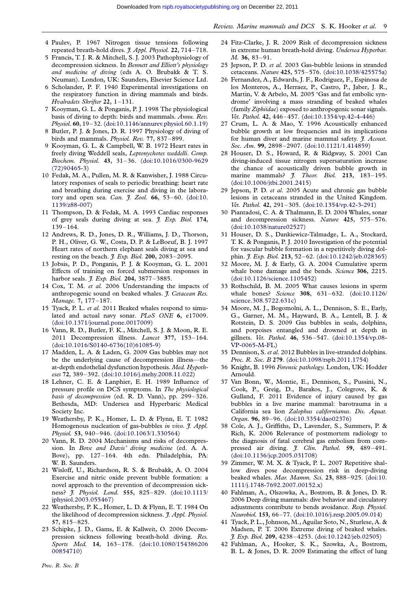Review. Marine mammals and DCS S. K. Hooker et al. 9

- <span id="page-8-0"></span>4 Paulev, P. 1967 Nitrogen tissue tensions following repeated breath-hold dives. J. Appl. Physiol. 22, 714-718.
- 5 Francis, T. J. R. & Mitchell, S. J. 2003 Pathophysiology of decompression sickness. In Bennett and Elliott's physiology and medicine of diving (eds A. O. Brubakk & T. S. Neuman). London, UK: Saunders, Elsevier Science Ltd.
- 6 Scholander, P. F. 1940 Experimental investigations on the respiratory function in diving mammals and birds. Hvalradets Skrifter 22, 1–131.
- 7 Kooyman, G. L. & Ponganis, P. J. 1998 The physiological basis of diving to depth: birds and mammals. Annu. Rev. Physiol. 60, 19–32. ([doi:10.1146/annurev.physiol.60.1.19](http://dx.doi.org/10.1146/annurev.physiol.60.1.19))
- 8 Butler, P. J. & Jones, D. R. 1997 Physiology of diving of birds and mammals. Physiol. Rev. 77, 837–899.
- 9 Kooyman, G. L. & Campbell, W. B. 1972 Heart rates in freely diving Weddell seals, Leptonychotes weddelli. Comp. Biochem. Physiol. 43, 31–36. ([doi:10.1016/0300-9629](http://dx.doi.org/10.1016/0300-9629(72)90465-3) [\(72\)90465-3](http://dx.doi.org/10.1016/0300-9629(72)90465-3))
- 10 Fedak, M. A., Pullen, M. R. & Kanwisher, J. 1988 Circulatory responses of seals to periodic breathing: heart rate and breathing during exercise and diving in the laboratory and open sea. Can.  $\frac{9}{2}$ . Zool. 66, 53-60. ([doi:10.](http://dx.doi.org/10.1139/z88-007) [1139/z88-007](http://dx.doi.org/10.1139/z88-007))
- 11 Thompson, D. & Fedak, M. A. 1993 Cardiac responses of grey seals during diving at sea. *J. Exp. Biol.* 174, 139–164.
- 12 Andrews, R. D., Jones, D. R., Williams, J. D., Thorson, P. H., Oliver, G. W., Costa, D. P. & LeBoeuf, B. J. 1997 Heart rates of northern elephant seals diving at sea and resting on the beach.  $\tilde{J}$ . Exp. Biol. 200, 2083-2095.
- 13 Jobsis, P. D., Ponganis, P. J. & Kooyman, G. L. 2001 Effects of training on forced submersion responses in harbor seals. *J. Exp. Biol.* 204, 3877-3885.
- 14 Cox, T. M. et al. 2006 Understanding the impacts of anthropogenic sound on beaked whales. *J. Cetacean Res.* Manage. 7, 177–187.
- 15 Tyack, P. L. et al. 2011 Beaked whales respond to simulated and actual navy sonar. PLoS ONE 6, e17009. [\(doi:10.1371/journal.pone.0017009\)](http://dx.doi.org/10.1371/journal.pone.0017009)
- 16 Vann, R. D., Butler, F. K., Mitchell, S. J. & Moon, R. E. 2011 Decompression illness. Lancet 377, 153–164. [\(doi:10.1016/S0140-6736\(10\)61085-9\)](http://dx.doi.org/10.1016/S0140-6736(10)61085-9)
- 17 Madden, L. A. & Laden, G. 2009 Gas bubbles may not be the underlying cause of decompression illness—the at-depth endothelial dysfunction hypothesis. Med. Hypotheses 72, 389–392. ([doi:10.1016/j.mehy.2008.11.022\)](http://dx.doi.org/10.1016/j.mehy.2008.11.022)
- 18 Lehner, C. E. & Lanphier, E. H. 1989 Influence of pressure profile on DCS symptoms. In The physiological basis of decompression (ed. R. D. Vann), pp. 299–326. Bethesda, MD: Undersea and Hyperbaric Medical Society Inc.
- 19 Weathersby, P. K., Homer, L. D. & Flynn, E. T. 1982 Homogenous nucleation of gas-bubbles in vivo. *J. Appl.* Physiol. 53, 940–946. ([doi:10.1063/1.330564](http://dx.doi.org/10.1063/1.330564))
- 20 Vann, R. D. 2004 Mechanisms and risks of decompression. In Bove and Davis' diving medicine (ed. A. A. Bove), pp. 127–164. 4th edn. Philadelphia, PA: W. B. Saunders.
- 21 Wisloff, U., Richardson, R. S. & Brubakk, A. O. 2004 Exercise and nitric oxide prevent bubble formation: a novel approach to the prevention of decompression sickness? J. Physiol. Lond. 555, 825–829. ([doi:10.1113/](http://dx.doi.org/10.1113/jphysiol.2003.055467) [jphysiol.2003.055467\)](http://dx.doi.org/10.1113/jphysiol.2003.055467)
- 22 Weathersby, P. K., Homer, L. D. & Flynn, E. T. 1984 On the likelihood of decompression sickness. J. Appl. Physiol. 57, 815–825.
- 23 Schipke, J. D., Gams, E. & Kallweit, O. 2006 Decompression sickness following breath-hold diving. Res. Sports Med. 14, 163–178. ([doi:10.1080/154386206](http://dx.doi.org/10.1080/15438620600854710) [00854710\)](http://dx.doi.org/10.1080/15438620600854710)
- 24 Fitz-Clarke, J. R. 2009 Risk of decompression sickness in extreme human breath-hold diving. Undersea Hyperbar. M. 36, 83–91.
- 25 Jepson, P. D. et al. 2003 Gas-bubble lesions in stranded cetaceans. Nature 425, 575–576. ([doi:10.1038/425575a](http://dx.doi.org/10.1038/425575a))
- 26 Fernandez, A., Edwards, J. F., Rodriguez, F., Espinosa de los Monteros, A., Herraez, P., Castro, P., Jaber, J. R., Martin, V. & Arbelo, M. 2005 'Gas and fat embolic syndrome' involving a mass stranding of beaked whales (family Ziphiidae) exposed to anthropogenic sonar signals. Vet. Pathol. 42, 446–457. ([doi:10.1354/vp.42-4-446\)](http://dx.doi.org/10.1354/vp.42-4-446)
- 27 Crum, L. A. & Mao, Y. 1996 Acoustically enhanced bubble growth at low frequencies and its implications for human diver and marine mammal safety. *J. Acoust*. Soc. Am. 99, 2898-2907. [\(doi:10.1121/1.414859\)](http://dx.doi.org/10.1121/1.414859)
- 28 Houser, D. S., Howard, R. & Ridgway, S. 2001 Can diving-induced tissue nitrogen supersaturation increase the chance of acoustically driven bubble growth in marine mammals?  $\hat{f}$ . Theor. Biol. 213, 183-195. [\(doi:10.1006/jtbi.2001.2415](http://dx.doi.org/10.1006/jtbi.2001.2415))
- 29 Jepson, P. D. et al. 2005 Acute and chronic gas bubble lesions in cetaceans stranded in the United Kingdom. Vet. Pathol. 42, 291–305. ([doi:10.1354/vp.42-3-291\)](http://dx.doi.org/10.1354/vp.42-3-291)
- 30 Piantadosi, C. A. & Thalmann, E. D. 2004 Whales, sonar and decompression sickness. Nature 425, 575–576. [\(doi:10.1038/nature02527](http://dx.doi.org/10.1038/nature02527))
- 31 Houser, D. S., Dankiewicz-Talmadge, L. A., Stockard, T. K. & Ponganis, P. J. 2010 Investigation of the potential for vascular bubble formation in a repetitively diving dolphin. *J. Exp. Biol.* 213, 52–62. [\(doi:10.1242/jeb.028365](http://dx.doi.org/10.1242/jeb.028365))
- 32 Moore, M. J. & Early, G. A. 2004 Cumulative sperm whale bone damage and the bends. Science 306, 2215. [\(doi:10.1126/science.1105452\)](http://dx.doi.org/10.1126/science.1105452)
- 33 Rothschild, B. M. 2005 What causes lesions in sperm whale bones? Science 308, 631–632. ([doi:10.1126/](http://dx.doi.org/10.1126/science.308.5722.631c) [science.308.5722.631c\)](http://dx.doi.org/10.1126/science.308.5722.631c)
- 34 Moore, M. J., Bogomolni, A. L., Dennison, S. E., Early, G., Garner, M. M., Hayward, B. A., Lentell, B. J. & Rotstein, D. S. 2009 Gas bubbles in seals, dolphins, and porpoises entangled and drowned at depth in gillnets. Vet. Pathol. 46, 536-547. ([doi:10.1354/vp.08-](http://dx.doi.org/10.1354/vp.08-VP-0065-M-FL) [VP-0065-M-FL\)](http://dx.doi.org/10.1354/vp.08-VP-0065-M-FL)
- 35 Dennison, S. et al. 2012 Bubbles in live-stranded dolphins. Proc. R. Soc. B 279. [\(doi:10.1098/rspb.2011.1754\)](http://dx.doi.org/10.1098/rspb.2011.1754)
- 36 Knight, B. 1996 Forensic pathology. London, UK: Hodder Arnould.
- 37 Van Bonn, W., Montie, E., Dennison, S., Pussini, N., Cook, P., Greig, D., Barakos, J., Colegrove, K. & Gulland, F. 2011 Evidence of injury caused by gas bubbles in a live marine mammal: barotrauma in a California sea lion Zalophus californianus. Dis. Aquat. Organ. 96, 89–96. [\(doi:10.3354/dao02376\)](http://dx.doi.org/10.3354/dao02376)
- 38 Cole, A. J., Griffiths, D., Lavender, S., Summers, P. & Rich, K. 2006 Relevance of postmortem radiology to the diagnosis of fatal cerebral gas embolism from compressed air diving. *J. Clin. Pathol.* 59, 489-491. [\(doi:10.1136/jcp.2005.031708\)](http://dx.doi.org/10.1136/jcp.2005.031708)
- 39 Zimmer, W. M. X. & Tyack, P. L. 2007 Repetitive shallow dives pose decompression risk in deep-diving beaked whales. Mar. Mamm. Sci. 23, 888–925. ([doi:10.](http://dx.doi.org/10.1111/j.1748-7692.2007.00152.x) [1111/j.1748-7692.2007.00152.x](http://dx.doi.org/10.1111/j.1748-7692.2007.00152.x))
- 40 Fahlman, A., Olszowka, A., Bostrom, B. & Jones, D. R. 2006 Deep diving mammals: dive behavior and circulatory adjustments contribute to bends avoidance. Resp. Physiol. Neurobiol. 153, 66–77. [\(doi:10.1016/j.resp.2005.09.014](http://dx.doi.org/10.1016/j.resp.2005.09.014))
- 41 Tyack, P. L., Johnson, M., Aguilar Soto, N., Sturlese, A. & Madsen, P. T. 2006 Extreme diving of beaked whales. J. Exp. Biol. 209, 4238–4253. ([doi:10.1242/jeb.02505\)](http://dx.doi.org/10.1242/jeb.02505)
- 42 Fahlman, A., Hooker, S. K., Szowka, A., Bostrom, B. L. & Jones, D. R. 2009 Estimating the effect of lung